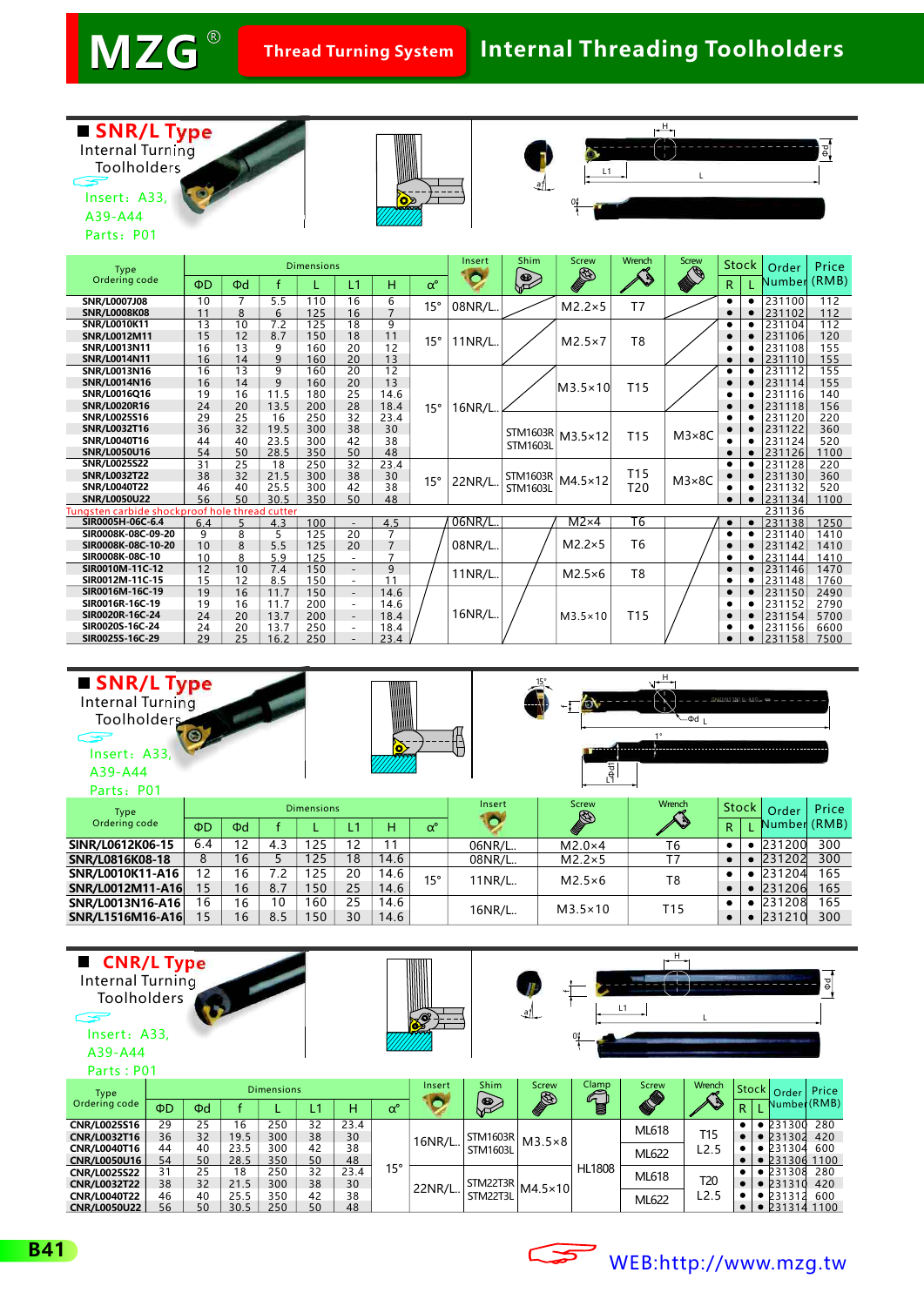$2<sub>c</sub>$ 

15

16

8.5

150

30

14.6

25

16.2

 $250$ 

-

23.4

**SIR0025S-16C-29**

**SNR/L1516M16-A16**

### **Internal Threading Toolholders**



| SNR/L Type<br>Internal Turning<br>Toolholders<br>Insert: A33,<br>A39-A44<br>Parts: P01 |                                      |                                                                 | $\bullet$ |                   |                   | $\frac{1}{9}$ | н<br>$-\Phi d$ <sub>I</sub> | CNPOOTSNTEL-ATEL: 4 |                 |                 |              |           |                                    |               |
|----------------------------------------------------------------------------------------|--------------------------------------|-----------------------------------------------------------------|-----------|-------------------|-------------------|---------------|-----------------------------|---------------------|-----------------|-----------------|--------------|-----------|------------------------------------|---------------|
| Type                                                                                   |                                      |                                                                 |           | <b>Dimensions</b> |                   |               |                             | Insert              | <b>Screw</b>    | Wrench          | <b>Stock</b> |           | Order                              | Price         |
| Ordering code                                                                          | ΦD                                   | $\Phi$ d                                                        |           |                   | L1                | H.            | $\alpha^{\circ}$            |                     | CENTRAL COMPANY |                 | R.           |           | Number (RMB)                       |               |
| SINR/L0612K06-15                                                                       | 6.4                                  | 12                                                              | 4.3       | 125               | $12 \overline{ }$ | 11            |                             | 06NR/L              | $M2.0\times4$   | Т6              | ٠            |           | 231200                             | 300           |
| SNR/L0816K08-18                                                                        | 8                                    | 16                                                              | 5         | 125               | 18                | 14.6          |                             | 08NR/L.             | $M2.2\times 5$  | T7              | $\bullet$    | $\bullet$ | 231202                             | 300           |
| SNR/L0010K11-A16                                                                       | 12<br>7.2<br>16<br>125<br>20<br>14.6 |                                                                 |           |                   |                   |               | $15^{\circ}$                | 11NR/L.             | $M2.5\times 6$  | T <sub>8</sub>  | ٠            |           | 231204                             | 165           |
| SNR/L0012M11-A16                                                                       | 15                                   | 16                                                              | 8.7       | 150               | 25                | 14.6          |                             |                     |                 |                 | $\bullet$    | ٠         | 231206                             | 165           |
| SNR/L0013N16-A16                                                                       | 16                                   | 10<br>25<br>160<br>14.6<br>16                                   |           |                   |                   |               |                             | 16NR/L              |                 | T <sub>15</sub> | ٠            |           | 231208                             | 165           |
|                                                                                        | $\sim$                               | $-2$<br>$\overline{a}$<br>$\sim$ $-$<br>$\sim$ $\sim$<br>$\sim$ |           |                   |                   |               |                             |                     | $M3.5\times10$  |                 |              |           | $\sim$ $\sim$ $\sim$ $\sim$ $\sim$ | $\sim$ $\sim$ |

| ■ CNR/L Type<br>Internal Turning<br><b>Toolholders</b><br>$\sim$<br>Insert: A33,<br>A39-A44<br>Parts: P01 |                      |                      |                            |                          |                      |                        |                  | <b>BEE</b> |                                    | -41                             |                             | н<br>L1                           |                                      |             |                                                                           | δę                |
|-----------------------------------------------------------------------------------------------------------|----------------------|----------------------|----------------------------|--------------------------|----------------------|------------------------|------------------|------------|------------------------------------|---------------------------------|-----------------------------|-----------------------------------|--------------------------------------|-------------|---------------------------------------------------------------------------|-------------------|
| <b>Type</b><br>Ordering code                                                                              | ΦD                   | $\Phi$ d             |                            | <b>Dimensions</b>        | L1                   | н                      | $\alpha^{\circ}$ | Insert     | Shim<br>$\frac{1}{2}$              | <b>Screw</b><br>CENTRAL COMPANY | Clamp<br>$\mathcal{L}$<br>e | <b>Screw</b><br><b>CONTROLLER</b> | Wrench                               | Stock<br>R. | Order<br>Number (RMB)                                                     | Price             |
| CNR/L0025S16<br>CNR/L0032T16<br>CNR/L0040T16<br><b>CNR/L0050U16</b>                                       | 29<br>36<br>44<br>54 | 25<br>32<br>40<br>50 | 16<br>19.5<br>23.5<br>28.5 | 250<br>300<br>300<br>350 | 32<br>38<br>42<br>50 | 23.4<br>30<br>38<br>48 |                  | 16NR/L     | <b>STM1603R</b><br><b>STM1603L</b> | $M3.5\times8$                   |                             | ML618<br>ML622                    | <b>T15</b><br>L2.5                   |             | $\bullet$ 231300<br>$\bullet$ 231302<br>• 231304<br>$\bullet$ 231306 1100 | 280<br>420<br>600 |
| <b>CNR/L0025S22</b><br><b>CNR/L0032T22</b><br>CNR/L0040T22<br><b>CNR/L0050U22</b>                         | 31<br>38<br>46<br>56 | 25<br>32<br>40<br>50 | 18<br>21.5<br>25.5<br>30.5 | 250<br>300<br>350<br>250 | 32<br>38<br>42<br>50 | 23.4<br>30<br>38<br>48 | $15^{\circ}$     | 22NR/L     | STM22T3R<br>STM22T3L               | $MA.5\times10$                  | <b>HL1808</b>               | <b>ML618</b><br>ML622             | T <sub>20</sub><br>L <sub>2</sub> .5 |             | • 231308<br>$\bullet$ 231310<br>• 231312<br>231314 1100                   | 280<br>420<br>600 |





# [WEB:http://www.mzg.tw](http://www.mzg.tw)

7500

231158

 $\epsilon$ 

300

231210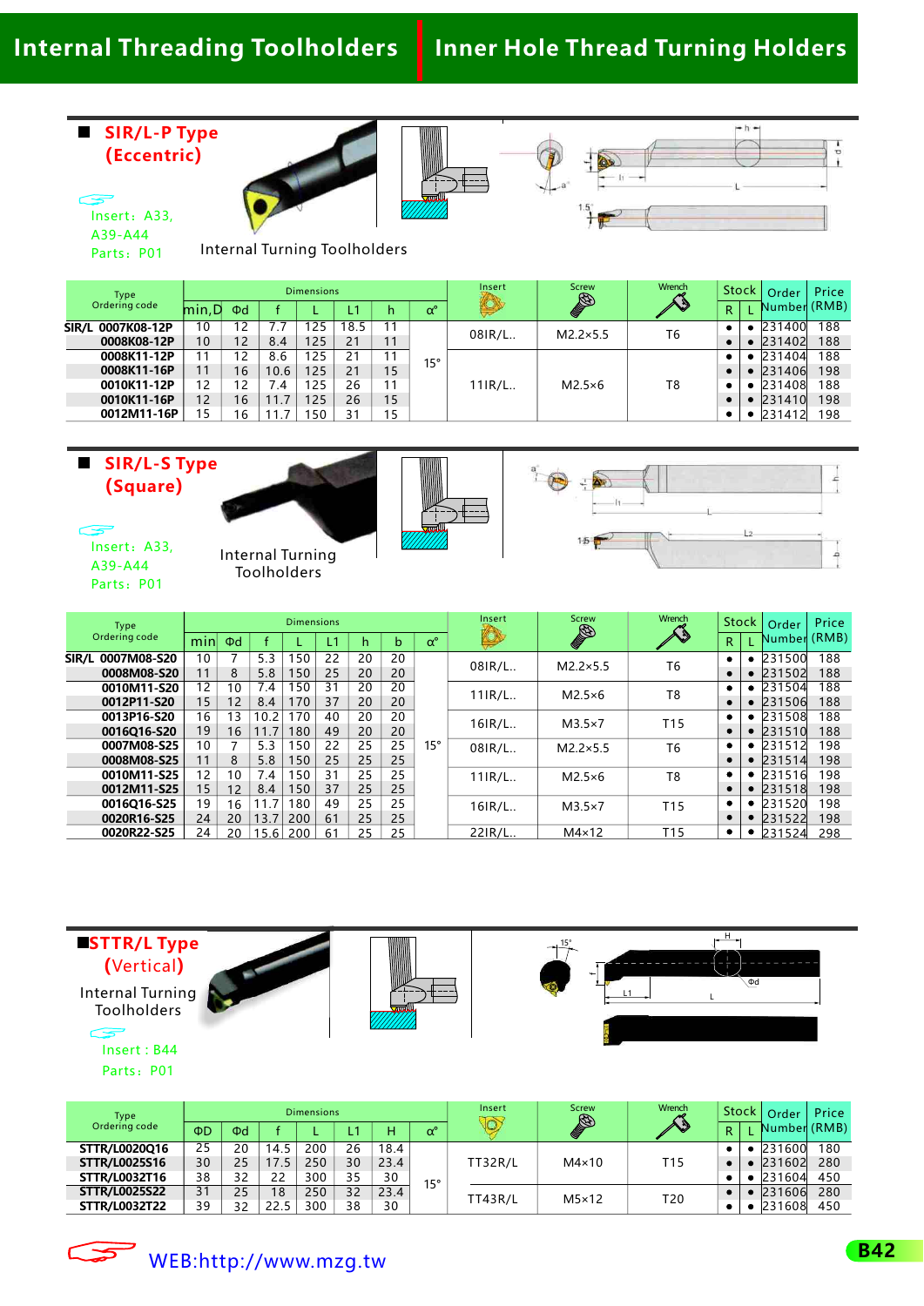### **Internal Threading Toolholders Inner Hole Thread Turning Holders**

#### **SIR/L-P Type (Eccentric)**

Insert: A33, A39-A44







Internal Turning Toolholders Parts: P01

| Type              |       |                |      | <b>Dimensions</b> |      |              |                  | Insert   | <b>Screw</b>              | Wrench |           | Stock | Order        | Price |
|-------------------|-------|----------------|------|-------------------|------|--------------|------------------|----------|---------------------------|--------|-----------|-------|--------------|-------|
| Ordering code     | min,D | $\Phi$ d       |      |                   | L1   | h            | $\alpha^{\circ}$ | <b>O</b> | <b>CENTERN CONTROLLER</b> | AS     | R         |       | Number (RMB) |       |
| SIR/L 0007K08-12P | 10    | 2              | ′.7  | 125               | 18.5 |              |                  |          | $M2.2\times5.5$           | T6     |           |       | 231400       | 188   |
| 0008K08-12P       | 10    | 12             | 8.4  | 125               | 21   |              | $15^{\circ}$     | 08IR/L   |                           |        |           |       | 231402       | 188   |
| 0008K11-12P       |       | $\overline{2}$ | 8.6  | 125               | 21   | $\mathbf{1}$ |                  | $11IR/L$ | $M2.5\times 6$            |        |           |       | 231404       | 188   |
| 0008K11-16P       | 11    | 16             | 10.6 | 125               | 21   | 15           |                  |          |                           | T8     | $\bullet$ |       | 231406       | 198   |
| 0010K11-12P       | 12    | '2             | 7.4  | 125               | 26   |              |                  |          |                           |        |           |       | 231408       | 188   |
| 0010K11-16P       | 12    | 16             | 11.7 | 125               | 26   | 15           |                  |          |                           |        |           |       | 231410       | 198   |
| 0012M11-16P       | 15    | 16             |      | 50                | 31   | 15           |                  |          |                           |        |           |       | 231412       | 198   |

#### **SIR/L-S Type (Square)**







Insert: A33, A39-A44 Parts: P01

Internal Turning Toolholders

| Type              |                   |          |      | <b>Dimensions</b> |    |    |    |                  | Insert  | <b>Screw</b>     | Wrench          |           | <b>Stock</b> | Order        | Price |
|-------------------|-------------------|----------|------|-------------------|----|----|----|------------------|---------|------------------|-----------------|-----------|--------------|--------------|-------|
| Ordering code     | min               | $\Phi$ d |      |                   | Ľ٦ | h  | b  | $\alpha^{\circ}$ | Ø       | <b>CENTER</b>    | AS              | R         |              | Number (RMB) |       |
| SIR/L 0007M08-S20 | 10                |          | 5.3  | 150               | 22 | 20 | 20 |                  | 08IR/L. | $M2.2\times 5.5$ | T <sub>6</sub>  |           | ٠            | 231500       | 188   |
| 0008M08-S20       | 11                | 8        | 5.8  | 150               | 25 | 20 | 20 |                  |         |                  |                 |           | $\bullet$    | 231502       | 188   |
| 0010M11-S20       | $12 \overline{ }$ | 10       | 7.4  | 150               | 31 | 20 | 20 |                  | 11IR/L. | $M2.5\times 6$   | T <sub>8</sub>  | ٠         | ٠            | 231504       | 188   |
| 0012P11-S20       | 15                | 12       | 8.4  | 170               | 37 | 20 | 20 |                  |         |                  |                 |           | $\bullet$    | 231506       | 188   |
| 0013P16-S20       | 16                | 13       | 10.2 | 170               | 40 | 20 | 20 |                  | 16IR/L  | $M3.5\times7$    | T <sub>15</sub> | ٠         | ٠            | 231508       | 188   |
| 0016O16-S20       | 19                | 16       | 11.7 | 180               | 49 | 20 | 20 |                  |         |                  |                 | $\bullet$ | $\bullet$    | 231510       | 188   |
| 0007M08-S25       | 10                |          | 5.3  | 150               | 22 | 25 | 25 | $15^{\circ}$     | 08IR/L. | $M2.2\times 5.5$ | T <sub>6</sub>  | ٠         |              | 231512       | 198   |
| 0008M08-S25       | 11                | 8        | 5.8  | 150               | 25 | 25 | 25 |                  |         |                  |                 | ٠         | $\bullet$    | 231514       | 198   |
| 0010M11-S25       | 12                | 10       | 7.4  | 150               | 31 | 25 | 25 |                  | 11IR/L. | $M2.5\times 6$   | T <sub>8</sub>  | ٠         | ٠            | 231516       | 198   |
| 0012M11-S25       | 15                | 12       | 8.4  | 150               | 37 | 25 | 25 |                  |         |                  |                 | ٠         | $\bullet$    | 231518       | 198   |
| 0016Q16-S25       | 19                | 16       | 11.7 | 180               | 49 | 25 | 25 |                  | 16IR/L. | $M3.5\times7$    | T <sub>15</sub> | ٠         | ٠            | 231520       | 198   |
| 0020R16-S25       | 24                | 20       | 13.7 | 200               | 61 | 25 | 25 |                  |         |                  |                 |           |              | 231522       | 198   |
| 0020R22-S25       | 24                | 20       | 15.6 | 200               | 61 | 25 | 25 |                  | 22IR/L. | $M4\times12$     | T <sub>15</sub> | ٠         | ٠            | 231524       | 298   |





Insert: B44 Parts: P01

| Type                 |    |          |      | <b>Dimensions</b> |    |      |                  | Insert             | <b>Screw</b>              | Wrench | Stock: |  | Order        | Price |
|----------------------|----|----------|------|-------------------|----|------|------------------|--------------------|---------------------------|--------|--------|--|--------------|-------|
| Ordering code        | ΦD | $\Phi$ d |      |                   |    | H.   | $\alpha^{\circ}$ | $\overline{\circ}$ | <b>CENTERN CONTROLLER</b> | AS     | R      |  | Number (RMB) |       |
| STTR/L0020Q16        | 25 | 20       | 14.5 | 200               | 26 | 18.4 |                  |                    |                           |        |        |  | 231600       | 180   |
| <b>STTR/L0025S16</b> | 30 | 25       | 17.5 | 250               | 30 | 23.4 |                  | <b>TT32R/L</b>     | $M4\times10$              | T15    |        |  | 231602       | 280   |
| STTR/L0032T16        | 38 | 32       | 22   | 300               | 35 | 30   | $15^{\circ}$     |                    |                           |        |        |  | 231604       | 450   |
| <b>STTR/L0025S22</b> | 31 | 25       | 18   | 250               | 32 | 23.4 |                  | <b>TT43R/L</b>     | $M5\times12$              | T20    |        |  | 231606       | 280   |
| <b>STTR/L0032T22</b> | 39 | 32       | 22.5 | 300               | 38 | 30   |                  |                    |                           |        |        |  | 231608       | 450   |

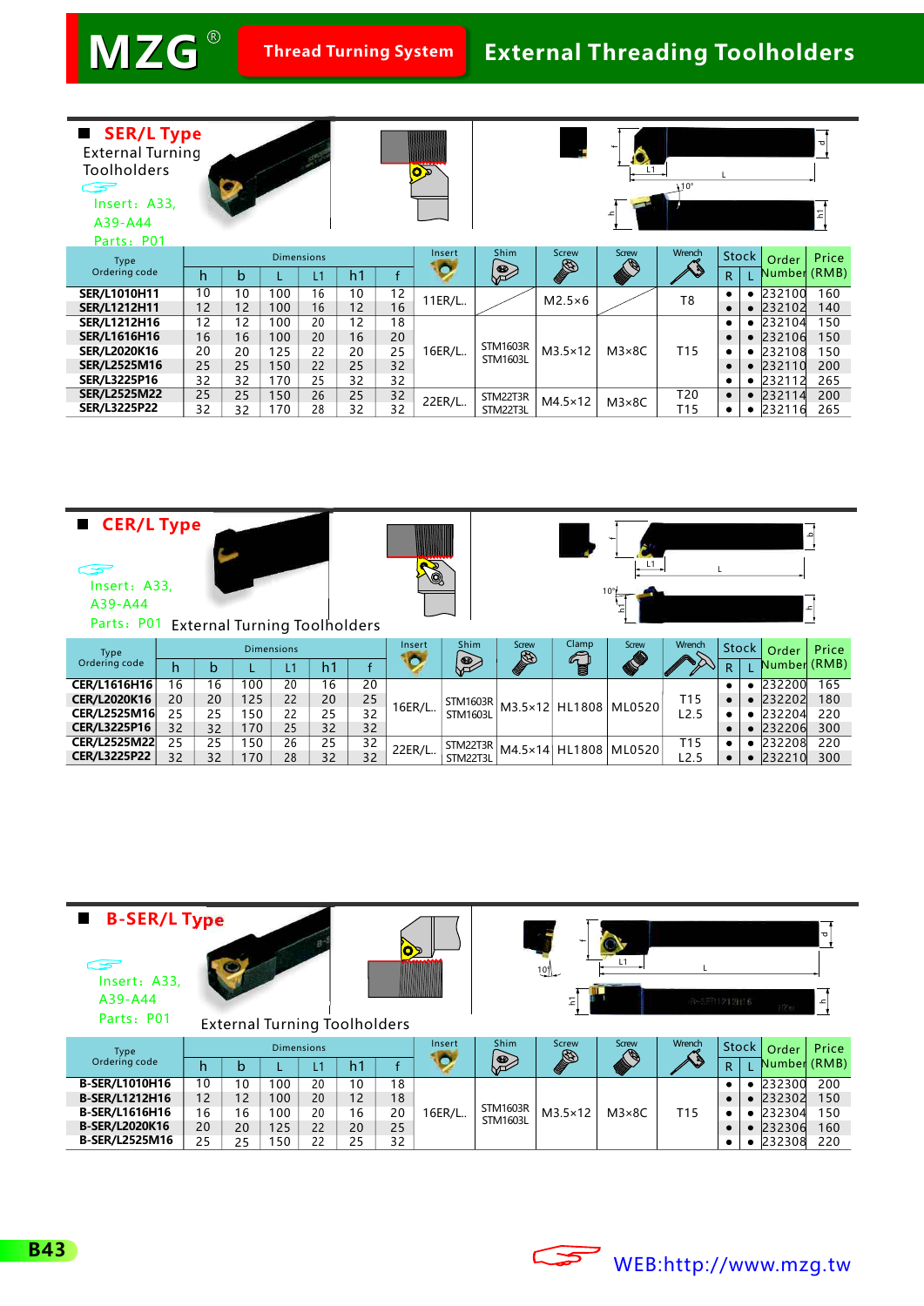**MZG Thread Turning System** R

### **External Threading Toolholders**

| ■ SER/L Type<br><b>External Turning</b><br><b>Toolholders</b><br>C 35<br>Insert: A33,<br>A39-A44<br>Parts: P01 |    |    |                   |    |                |                 | $\overline{\text{G}}$ |                  |                          |                                    | $\lambda$ 10°   |                   |           |                       | Δ<br>Ξ |
|----------------------------------------------------------------------------------------------------------------|----|----|-------------------|----|----------------|-----------------|-----------------------|------------------|--------------------------|------------------------------------|-----------------|-------------------|-----------|-----------------------|--------|
| Type<br>Ordering code                                                                                          | h  | b  | <b>Dimensions</b> | L1 | h <sub>1</sub> |                 | Insert<br>О           | <b>Shim</b><br>E | Screw<br>CENTRAL COMPANY | <b>Screw</b><br><b>DESCRIPTION</b> | Wrench          | <b>Stock</b><br>R |           | Order<br>Number (RMB) | Price  |
| <b>SER/L1010H11</b>                                                                                            | 10 | 10 | 100               | 16 | 10             | $\overline{12}$ |                       |                  |                          |                                    |                 |                   |           | $\bullet$ 232100      | 160    |
| <b>SER/L1212H11</b>                                                                                            | 12 | 12 | 100               | 16 | 12             | 16              | 11ER/L                |                  | $M2.5\times 6$           |                                    | T <sub>8</sub>  |                   |           | • 232102              | 140    |
| <b>SER/L1212H16</b>                                                                                            | 12 | 12 | 100               | 20 | 12             | 18              |                       |                  |                          |                                    |                 |                   | $\bullet$ | 232104                | 150    |
| <b>SER/L1616H16</b>                                                                                            | 16 | 16 | 100               | 20 | 16             | 20              |                       |                  |                          |                                    |                 |                   |           | • 232106              | 150    |
| <b>SER/L2020K16</b>                                                                                            | 20 | 20 | 125               | 22 | 20             | 25              | 16ER/L                | <b>STM1603R</b>  | $M3.5\times12$           | $M3\times8C$                       | T <sub>15</sub> |                   |           | 232108                | 150    |
| <b>SER/L2525M16</b>                                                                                            | 25 | 25 | 150               | 22 | 25             | 32              |                       | <b>STM1603L</b>  |                          |                                    |                 | ٠                 | $\bullet$ | 232110                | 200    |
| <b>SER/L3225P16</b>                                                                                            | 32 | 32 | 170               | 25 | 32             | 32              |                       |                  |                          |                                    |                 | ٠                 |           | $\bullet$ 232112      | 265    |
| <b>SER/L2525M22</b>                                                                                            | 25 | 25 | 150               | 26 | 25             | 32              | 22ER/L                | STM22T3R         | $M4.5\times12$           | $M3\times8C$                       | T20             | $\bullet$         | $\bullet$ | 232114                | 200    |
| <b>SER/L3225P22</b>                                                                                            | 32 | 32 | 170               | 28 | 32             | 32              |                       | STM22T3L         |                          |                                    | T <sub>15</sub> |                   | ٠         | 232116                | 265    |